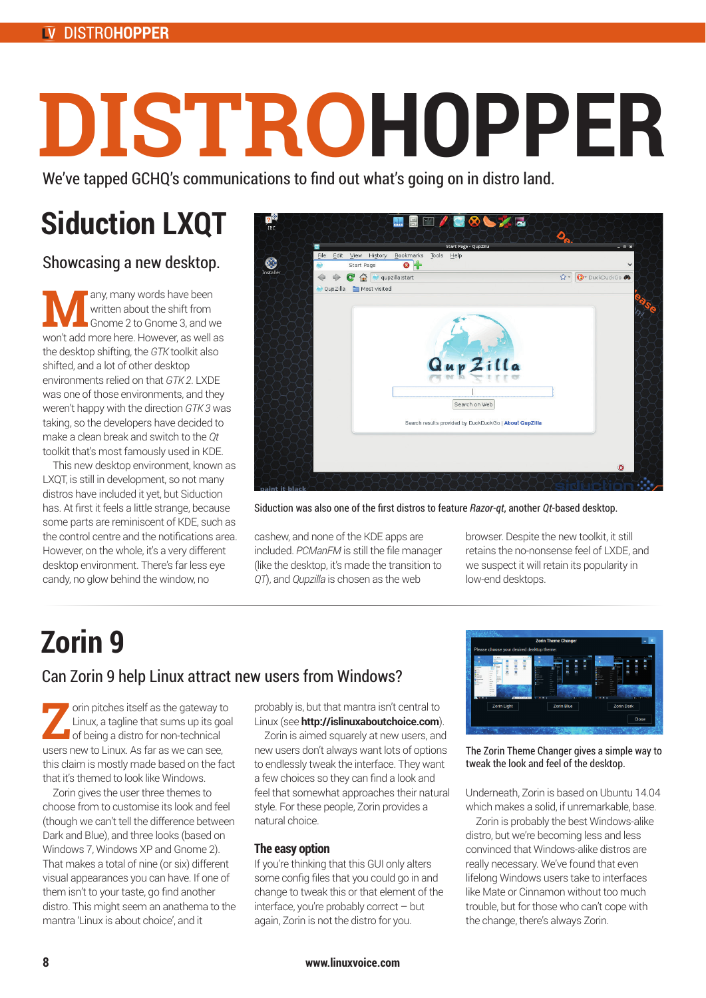### DISTRO**HOPPER**

# **DISTRO HOPPER**

We've tapped GCHQ's communications to find out what's going on in distro land.

## **Siduction LXQT**

Showcasing a new desktop.

any, many words have been written about the shift from Gnome 2 to Gnome 3, and we won't add more here. However, as well as the desktop shifting, the *GTK* toolkit also shifted, and a lot of other desktop environments relied on that *GTK 2*. LXDE was one of those environments, and they weren't happy with the direction *GTK 3* was taking, so the developers have decided to make a clean break and switch to the *Qt* toolkit that's most famously used in KDE.

This new desktop environment, known as LXQT, is still in development, so not many distros have included it yet, but Siduction has. At first it feels a little strange, because some parts are reminiscent of KDE, such as the control centre and the notifications area. However, on the whole, it's a very different desktop environment. There's far less eye candy, no glow behind the window, no



Siduction was also one of the first distros to feature *Razor-qt*, another *Qt*-based desktop.

cashew, and none of the KDE apps are included. *PCManFM* is still the file manager (like the desktop, it's made the transition to *QT*), and *Qupzilla* is chosen as the web

browser. Despite the new toolkit, it still retains the no-nonsense feel of LXDE, and we suspect it will retain its popularity in low-end desktops.

## **Zorin 9** Can Zorin 9 help Linux attract new users from Windows?

**Z**orin pitches itself as the gateway to Linux, a tagline that sums up its goal of being a distro for non-technical

users new to Linux. As far as we can see, this claim is mostly made based on the fact that it's themed to look like Windows.

Zorin gives the user three themes to choose from to customise its look and feel (though we can't tell the difference between Dark and Blue), and three looks (based on Windows 7, Windows XP and Gnome 2). That makes a total of nine (or six) different visual appearances you can have. If one of them isn't to your taste, go find another distro. This might seem an anathema to the mantra 'Linux is about choice', and it

probably is, but that mantra isn't central to Linux (see **http://islinuxaboutchoice.com**).

Zorin is aimed squarely at new users, and new users don't always want lots of options to endlessly tweak the interface. They want a few choices so they can find a look and feel that somewhat approaches their natural style. For these people, Zorin provides a natural choice.

#### **The easy option**

If you're thinking that this GUI only alters some config files that you could go in and change to tweak this or that element of the interface, you're probably correct – but again, Zorin is not the distro for you.



The Zorin Theme Changer gives a simple way to tweak the look and feel of the desktop.

Underneath, Zorin is based on Ubuntu 14.04 which makes a solid, if unremarkable, base.

Zorin is probably the best Windows-alike distro, but we're becoming less and less convinced that Windows-alike distros are really necessary. We've found that even lifelong Windows users take to interfaces like Mate or Cinnamon without too much trouble, but for those who can't cope with the change, there's always Zorin.